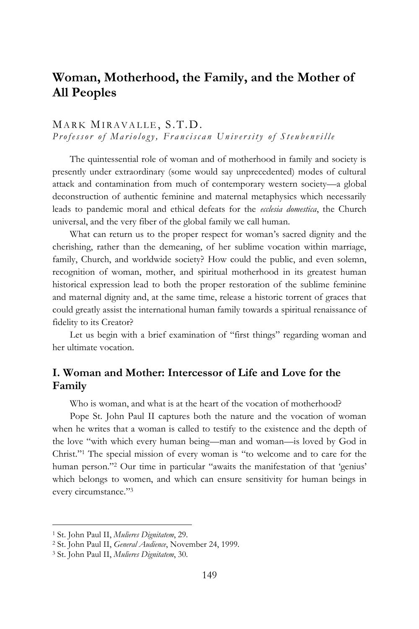# **Woman, Motherhood, the Family, and the Mother of All Peoples**

## MARK MIRAVALLE, S.T.D. *Professor of Mariology, Franciscan University of Steubenville*

The quintessential role of woman and of motherhood in family and society is presently under extraordinary (some would say unprecedented) modes of cultural attack and contamination from much of contemporary western society—a global deconstruction of authentic feminine and maternal metaphysics which necessarily leads to pandemic moral and ethical defeats for the *ecclesia domestica*, the Church universal, and the very fiber of the global family we call human.

What can return us to the proper respect for woman's sacred dignity and the cherishing, rather than the demeaning, of her sublime vocation within marriage, family, Church, and worldwide society? How could the public, and even solemn, recognition of woman, mother, and spiritual motherhood in its greatest human historical expression lead to both the proper restoration of the sublime feminine and maternal dignity and, at the same time, release a historic torrent of graces that could greatly assist the international human family towards a spiritual renaissance of fidelity to its Creator?

Let us begin with a brief examination of "first things" regarding woman and her ultimate vocation.

# **I. Woman and Mother: Intercessor of Life and Love for the Family**

Who is woman, and what is at the heart of the vocation of motherhood?

Pope St. John Paul II captures both the nature and the vocation of woman when he writes that a woman is called to testify to the existence and the depth of the love "with which every human being—man and woman—is loved by God in Christ." <sup>1</sup> The special mission of every woman is "to welcome and to care for the human person." <sup>2</sup> Our time in particular "awaits the manifestation of that 'genius' which belongs to women, and which can ensure sensitivity for human beings in every circumstance." 3

<sup>1</sup> St. John Paul II, *Mulieres Dignitatem*, 29.

<sup>2</sup> St. John Paul II, *General Audience*, November 24, 1999.

<sup>3</sup> St. John Paul II, *Mulieres Dignitatem*, 30.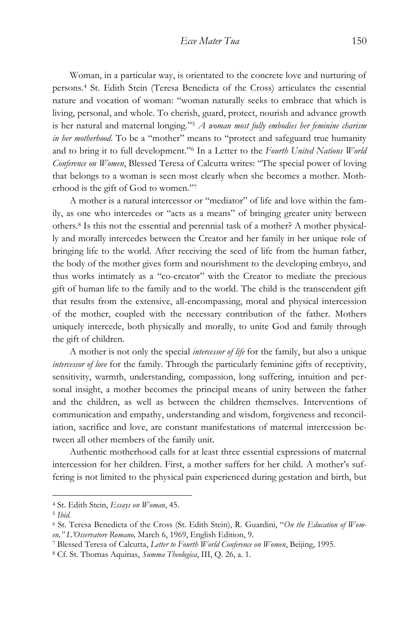Woman, in a particular way, is orientated to the concrete love and nurturing of persons.<sup>4</sup> St. Edith Stein (Teresa Benedicta of the Cross) articulates the essential nature and vocation of woman: "woman naturally seeks to embrace that which is living, personal, and whole. To cherish, guard, protect, nourish and advance growth is her natural and maternal longing." <sup>5</sup> *A woman most fully embodies her feminine charism in her motherhood*. To be a "mother" means to "protect and safeguard true humanity and to bring it to full development." <sup>6</sup> In a Letter to the *Fourth United Nations World Conference on Women*, Blessed Teresa of Calcutta writes: "The special power of loving that belongs to a woman is seen most clearly when she becomes a mother. Motherhood is the gift of God to women." 7

A mother is a natural intercessor or "mediator" of life and love within the family, as one who intercedes or "acts as a means" of bringing greater unity between others.<sup>8</sup> Is this not the essential and perennial task of a mother? A mother physically and morally intercedes between the Creator and her family in her unique role of bringing life to the world. After receiving the seed of life from the human father, the body of the mother gives form and nourishment to the developing embryo, and thus works intimately as a "co-creator" with the Creator to mediate the precious gift of human life to the family and to the world. The child is the transcendent gift that results from the extensive, all-encompassing, moral and physical intercession of the mother, coupled with the necessary contribution of the father. Mothers uniquely intercede, both physically and morally, to unite God and family through the gift of children.

A mother is not only the special *intercessor of life* for the family, but also a unique *intercessor of love* for the family. Through the particularly feminine gifts of receptivity, sensitivity, warmth, understanding, compassion, long suffering, intuition and personal insight, a mother becomes the principal means of unity between the father and the children, as well as between the children themselves. Interventions of communication and empathy, understanding and wisdom, forgiveness and reconciliation, sacrifice and love, are constant manifestations of maternal intercession between all other members of the family unit.

Authentic motherhood calls for at least three essential expressions of maternal intercession for her children. First, a mother suffers for her child. A mother's suffering is not limited to the physical pain experienced during gestation and birth, but

<sup>4</sup> St. Edith Stein, *Essays on Woman*, 45.

<sup>5</sup> *Ibid.*

<sup>6</sup> St. Teresa Benedicta of the Cross (St. Edith Stein), R. Guardini, "*On the Education of Women," L'Osservatore Romano,* March 6, 1969, English Edition, 9*.*

<sup>7</sup> Blessed Teresa of Calcutta, *Letter to Fourth World Conference on Women*, Beijing, 1995.

<sup>8</sup> Cf. St. Thomas Aquinas, *Summa Theologica*, III, Q. 26, a. 1.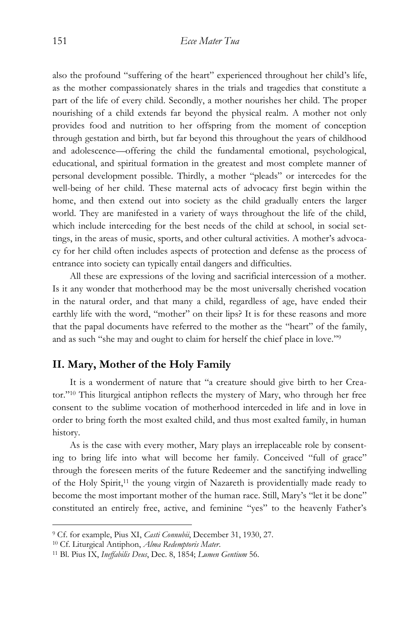also the profound "suffering of the heart" experienced throughout her child's life, as the mother compassionately shares in the trials and tragedies that constitute a part of the life of every child. Secondly, a mother nourishes her child. The proper nourishing of a child extends far beyond the physical realm. A mother not only provides food and nutrition to her offspring from the moment of conception through gestation and birth, but far beyond this throughout the years of childhood and adolescence—offering the child the fundamental emotional, psychological, educational, and spiritual formation in the greatest and most complete manner of personal development possible. Thirdly, a mother "pleads" or intercedes for the well-being of her child. These maternal acts of advocacy first begin within the home, and then extend out into society as the child gradually enters the larger world. They are manifested in a variety of ways throughout the life of the child, which include interceding for the best needs of the child at school, in social settings, in the areas of music, sports, and other cultural activities. A mother's advocacy for her child often includes aspects of protection and defense as the process of entrance into society can typically entail dangers and difficulties.

All these are expressions of the loving and sacrificial intercession of a mother. Is it any wonder that motherhood may be the most universally cherished vocation in the natural order, and that many a child, regardless of age, have ended their earthly life with the word, "mother" on their lips? It is for these reasons and more that the papal documents have referred to the mother as the "heart" of the family, and as such "she may and ought to claim for herself the chief place in love." 9

### **II. Mary, Mother of the Holy Family**

It is a wonderment of nature that "a creature should give birth to her Creator." <sup>10</sup> This liturgical antiphon reflects the mystery of Mary, who through her free consent to the sublime vocation of motherhood interceded in life and in love in order to bring forth the most exalted child, and thus most exalted family, in human history.

As is the case with every mother, Mary plays an irreplaceable role by consenting to bring life into what will become her family. Conceived "full of grace" through the foreseen merits of the future Redeemer and the sanctifying indwelling of the Holy Spirit,<sup>11</sup> the young virgin of Nazareth is providentially made ready to become the most important mother of the human race. Still, Mary's "let it be done" constituted an entirely free, active, and feminine "yes" to the heavenly Father's

<sup>9</sup> Cf. for example, Pius XI, *Casti Connubii*, December 31, 1930, 27.

<sup>10</sup> Cf. Liturgical Antiphon, *Alma Redemptoris Mater*.

<sup>11</sup> Bl. Pius IX, *Ineffabilis Deus*, Dec. 8, 1854; *Lumen Gentium* 56.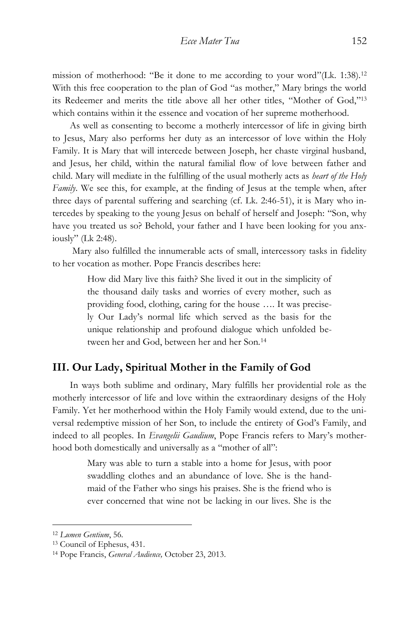mission of motherhood: "Be it done to me according to your word"(Lk. 1:38).<sup>12</sup> With this free cooperation to the plan of God "as mother," Mary brings the world its Redeemer and merits the title above all her other titles, "Mother of God," 13 which contains within it the essence and vocation of her supreme motherhood.

As well as consenting to become a motherly intercessor of life in giving birth to Jesus, Mary also performs her duty as an intercessor of love within the Holy Family. It is Mary that will intercede between Joseph, her chaste virginal husband, and Jesus, her child, within the natural familial flow of love between father and child. Mary will mediate in the fulfilling of the usual motherly acts as *heart of the Holy Family*. We see this, for example, at the finding of Jesus at the temple when, after three days of parental suffering and searching (cf. Lk. 2:46-51), it is Mary who intercedes by speaking to the young Jesus on behalf of herself and Joseph: "Son, why have you treated us so? Behold, your father and I have been looking for you anxiously" (Lk 2:48).

Mary also fulfilled the innumerable acts of small, intercessory tasks in fidelity to her vocation as mother. Pope Francis describes here:

> How did Mary live this faith? She lived it out in the simplicity of the thousand daily tasks and worries of every mother, such as providing food, clothing, caring for the house …. It was precisely Our Lady's normal life which served as the basis for the unique relationship and profound dialogue which unfolded between her and God, between her and her Son.<sup>14</sup>

## **III. Our Lady, Spiritual Mother in the Family of God**

In ways both sublime and ordinary, Mary fulfills her providential role as the motherly intercessor of life and love within the extraordinary designs of the Holy Family. Yet her motherhood within the Holy Family would extend, due to the universal redemptive mission of her Son, to include the entirety of God's Family, and indeed to all peoples. In *Evangelii Gaudium*, Pope Francis refers to Mary's motherhood both domestically and universally as a "mother of all":

> Mary was able to turn a stable into a home for Jesus, with poor swaddling clothes and an abundance of love. She is the handmaid of the Father who sings his praises. She is the friend who is ever concerned that wine not be lacking in our lives. She is the

<sup>12</sup> *Lumen Gentium*, 56.

<sup>13</sup> Council of Ephesus, 431.

<sup>14</sup> Pope Francis, *General Audience,* October 23, 2013.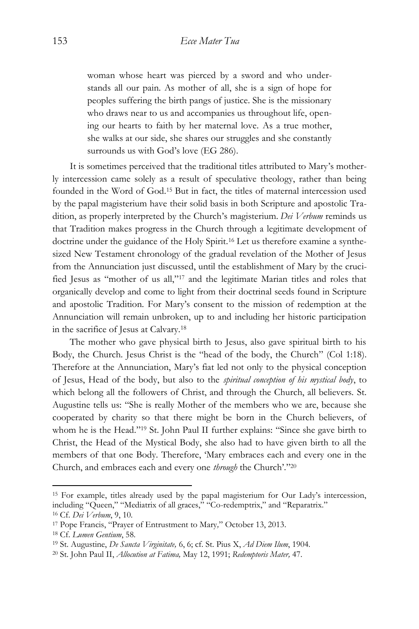woman whose heart was pierced by a sword and who understands all our pain. As mother of all, she is a sign of hope for peoples suffering the birth pangs of justice. She is the missionary who draws near to us and accompanies us throughout life, opening our hearts to faith by her maternal love. As a true mother, she walks at our side, she shares our struggles and she constantly surrounds us with God's love (EG 286).

It is sometimes perceived that the traditional titles attributed to Mary's motherly intercession came solely as a result of speculative theology, rather than being founded in the Word of God.<sup>15</sup> But in fact, the titles of maternal intercession used by the papal magisterium have their solid basis in both Scripture and apostolic Tradition, as properly interpreted by the Church's magisterium. *Dei Verbum* reminds us that Tradition makes progress in the Church through a legitimate development of doctrine under the guidance of the Holy Spirit.<sup>16</sup> Let us therefore examine a synthesized New Testament chronology of the gradual revelation of the Mother of Jesus from the Annunciation just discussed, until the establishment of Mary by the crucified Jesus as "mother of us all," <sup>17</sup> and the legitimate Marian titles and roles that organically develop and come to light from their doctrinal seeds found in Scripture and apostolic Tradition. For Mary's consent to the mission of redemption at the Annunciation will remain unbroken, up to and including her historic participation in the sacrifice of Jesus at Calvary.<sup>18</sup>

The mother who gave physical birth to Jesus, also gave spiritual birth to his Body, the Church. Jesus Christ is the "head of the body, the Church" (Col 1:18). Therefore at the Annunciation, Mary's fiat led not only to the physical conception of Jesus, Head of the body, but also to the *spiritual conception of his mystical body*, to which belong all the followers of Christ, and through the Church, all believers. St. Augustine tells us: "She is really Mother of the members who we are, because she cooperated by charity so that there might be born in the Church believers, of whom he is the Head." <sup>19</sup> St. John Paul II further explains: "Since she gave birth to Christ, the Head of the Mystical Body, she also had to have given birth to all the members of that one Body. Therefore, 'Mary embraces each and every one in the Church, and embraces each and every one *through* the Church'." 20

<sup>15</sup> For example, titles already used by the papal magisterium for Our Lady's intercession, including "Queen," "Mediatrix of all graces," "Co-redemptrix," and "Reparatrix." <sup>16</sup> Cf. *Dei Verbum*, 9, 10.

<sup>17</sup> Pope Francis, "Prayer of Entrustment to Mary*,*" October 13, 2013.

<sup>18</sup> Cf. *Lumen Gentium*, 58.

<sup>19</sup> St. Augustine, *De Sancta Virginitate,* 6, 6; cf. St. Pius X, *Ad Diem Ilum*, 1904.

<sup>20</sup> St. John Paul II, *Allocution at Fatima,* May 12, 1991; *Redemptoris Mater,* 47.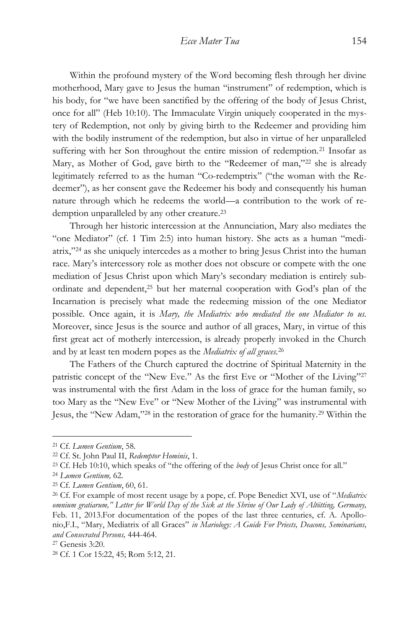Within the profound mystery of the Word becoming flesh through her divine motherhood, Mary gave to Jesus the human "instrument" of redemption, which is his body, for "we have been sanctified by the offering of the body of Jesus Christ, once for all" (Heb 10:10). The Immaculate Virgin uniquely cooperated in the mystery of Redemption, not only by giving birth to the Redeemer and providing him with the bodily instrument of the redemption, but also in virtue of her unparalleled suffering with her Son throughout the entire mission of redemption.<sup>21</sup> Insofar as Mary, as Mother of God, gave birth to the "Redeemer of man,"<sup>22</sup> she is already legitimately referred to as the human "Co-redemptrix" ("the woman with the Redeemer"), as her consent gave the Redeemer his body and consequently his human nature through which he redeems the world—a contribution to the work of redemption unparalleled by any other creature.<sup>23</sup>

Through her historic intercession at the Annunciation, Mary also mediates the "one Mediator" (cf. 1 Tim 2:5) into human history. She acts as a human "mediatrix," <sup>24</sup> as she uniquely intercedes as a mother to bring Jesus Christ into the human race. Mary's intercessory role as mother does not obscure or compete with the one mediation of Jesus Christ upon which Mary's secondary mediation is entirely subordinate and dependent,<sup>25</sup> but her maternal cooperation with God's plan of the Incarnation is precisely what made the redeeming mission of the one Mediator possible*.* Once again, it is *Mary, the Mediatrix who mediated the one Mediator to us.* Moreover, since Jesus is the source and author of all graces, Mary, in virtue of this first great act of motherly intercession, is already properly invoked in the Church and by at least ten modern popes as the *Mediatrix of all graces*. 26

The Fathers of the Church captured the doctrine of Spiritual Maternity in the patristic concept of the "New Eve." As the first Eve or "Mother of the Living"<sup>27</sup> was instrumental with the first Adam in the loss of grace for the human family, so too Mary as the "New Eve" or "New Mother of the Living" was instrumental with Jesus, the "New Adam," <sup>28</sup> in the restoration of grace for the humanity.<sup>29</sup> Within the

<sup>21</sup> Cf. *Lumen Gentium*, 58.

<sup>22</sup> Cf. St. John Paul II, *Redemptor Hominis*, 1.

<sup>23</sup> Cf. Heb 10:10, which speaks of "the offering of the *body* of Jesus Christ once for all."

<sup>24</sup> *Lumen Gentium,* 62.

<sup>25</sup> Cf. *Lumen Gentium*, 60, 61.

<sup>26</sup> Cf. For example of most recent usage by a pope, cf. Pope Benedict XVI, use of "*Mediatrix omnium gratiarum," Letter for World Day of the Sick at the Shrine of Our Lady of Altötting, Germany,* Feb. 11, 2013.For documentation of the popes of the last three centuries, cf. A. Apollonio,F.I., "Mary, Mediatrix of all Graces" *in Mariology: A Guide For Priests, Deacons, Seminarians, and Consecrated Persons,* 444-464.

<sup>27</sup> Genesis 3:20.

<sup>28</sup> Cf. 1 Cor 15:22, 45; Rom 5:12, 21.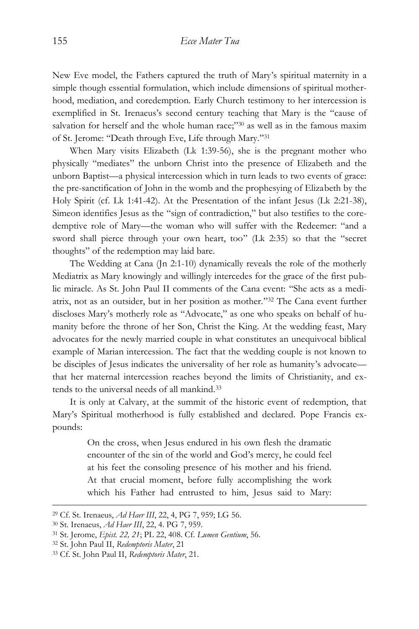New Eve model, the Fathers captured the truth of Mary's spiritual maternity in a simple though essential formulation, which include dimensions of spiritual motherhood, mediation, and coredemption. Early Church testimony to her intercession is exemplified in St. Irenaeus's second century teaching that Mary is the "cause of salvation for herself and the whole human race;"<sup>30</sup> as well as in the famous maxim of St. Jerome: "Death through Eve, Life through Mary." 31

When Mary visits Elizabeth (Lk 1:39-56), she is the pregnant mother who physically "mediates" the unborn Christ into the presence of Elizabeth and the unborn Baptist—a physical intercession which in turn leads to two events of grace: the pre-sanctification of John in the womb and the prophesying of Elizabeth by the Holy Spirit (cf. Lk 1:41-42). At the Presentation of the infant Jesus (Lk 2:21-38), Simeon identifies Jesus as the "sign of contradiction," but also testifies to the coredemptive role of Mary—the woman who will suffer with the Redeemer: "and a sword shall pierce through your own heart, too" (Lk 2:35) so that the "secret thoughts" of the redemption may laid bare.

The Wedding at Cana (Jn 2:1-10) dynamically reveals the role of the motherly Mediatrix as Mary knowingly and willingly intercedes for the grace of the first public miracle. As St. John Paul II comments of the Cana event: "She acts as a mediatrix, not as an outsider, but in her position as mother." <sup>32</sup> The Cana event further discloses Mary's motherly role as "Advocate," as one who speaks on behalf of humanity before the throne of her Son, Christ the King. At the wedding feast, Mary advocates for the newly married couple in what constitutes an unequivocal biblical example of Marian intercession. The fact that the wedding couple is not known to be disciples of Jesus indicates the universality of her role as humanity's advocate that her maternal intercession reaches beyond the limits of Christianity, and extends to the universal needs of all mankind.<sup>33</sup>

It is only at Calvary, at the summit of the historic event of redemption, that Mary's Spiritual motherhood is fully established and declared. Pope Francis expounds:

> On the cross, when Jesus endured in his own flesh the dramatic encounter of the sin of the world and God's mercy, he could feel at his feet the consoling presence of his mother and his friend. At that crucial moment, before fully accomplishing the work which his Father had entrusted to him, Jesus said to Mary:

<sup>29</sup> Cf. St. Irenaeus, *Ad Haer III*, 22, 4, PG 7, 959; LG 56.

<sup>30</sup> St. Irenaeus, *Ad Haer III*, 22, 4. PG 7, 959.

<sup>31</sup> St. Jerome, *Epist. 22, 21*; PL 22, 408. Cf. *Lumen Gentium*, 56.

<sup>32</sup> St. John Paul II, *Redemptoris Mater*, 21

<sup>33</sup> Cf. St. John Paul II, *Redemptoris Mater*, 21.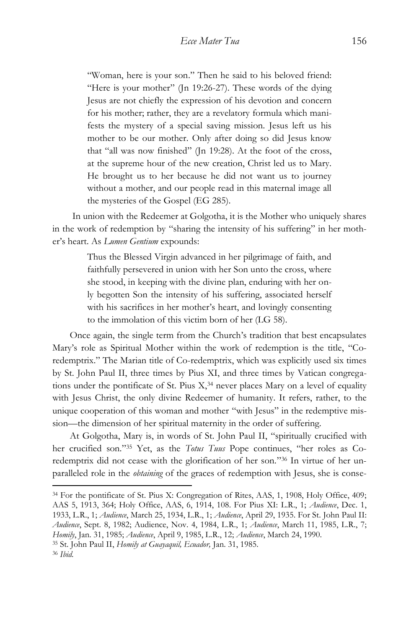"Woman, here is your son." Then he said to his beloved friend: "Here is your mother" (Jn 19:26-27). These words of the dying Jesus are not chiefly the expression of his devotion and concern for his mother; rather, they are a revelatory formula which manifests the mystery of a special saving mission. Jesus left us his mother to be our mother*.* Only after doing so did Jesus know that "all was now finished" (Jn 19:28). At the foot of the cross, at the supreme hour of the new creation, Christ led us to Mary. He brought us to her because he did not want us to journey without a mother, and our people read in this maternal image all the mysteries of the Gospel (EG 285).

In union with the Redeemer at Golgotha, it is the Mother who uniquely shares in the work of redemption by "sharing the intensity of his suffering" in her mother's heart. As *Lumen Gentium* expounds:

> Thus the Blessed Virgin advanced in her pilgrimage of faith, and faithfully persevered in union with her Son unto the cross, where she stood, in keeping with the divine plan, enduring with her only begotten Son the intensity of his suffering, associated herself with his sacrifices in her mother's heart, and lovingly consenting to the immolation of this victim born of her (LG 58).

Once again, the single term from the Church's tradition that best encapsulates Mary's role as Spiritual Mother within the work of redemption is the title, "Coredemptrix." The Marian title of Co-redemptrix, which was explicitly used six times by St. John Paul II, three times by Pius XI, and three times by Vatican congregations under the pontificate of St. Pius  $X$ <sup>34</sup> never places Mary on a level of equality with Jesus Christ, the only divine Redeemer of humanity. It refers, rather, to the unique cooperation of this woman and mother "with Jesus" in the redemptive mission—the dimension of her spiritual maternity in the order of suffering.

At Golgotha, Mary is, in words of St. John Paul II, "spiritually crucified with her crucified son." <sup>35</sup> Yet, as the *Totus Tuus* Pope continues, "her roles as Coredemptrix did not cease with the glorification of her son." <sup>36</sup> In virtue of her unparalleled role in the *obtaining* of the graces of redemption with Jesus, she is conse-

<sup>34</sup> For the pontificate of St. Pius X: Congregation of Rites, AAS, 1, 1908, Holy Office, 409; AAS 5, 1913, 364; Holy Office, AAS, 6, 1914, 108. For Pius XI: L.R., 1; *Audience*, Dec. 1, 1933, L.R., 1; *Audience*, March 25, 1934, L.R., 1; *Audience*, April 29, 1935. For St. John Paul II: *Audience*, Sept. 8, 1982; Audience, Nov. 4, 1984, L.R., 1; *Audience*, March 11, 1985, L.R., 7; *Homily*, Jan. 31, 1985; *Audience*, April 9, 1985, L.R., 12; *Audience*, March 24, 1990.

<sup>35</sup> St. John Paul II, *Homily at Guayaquil, Ecuador,* Jan. 31, 1985.

<sup>36</sup> *Ibid*.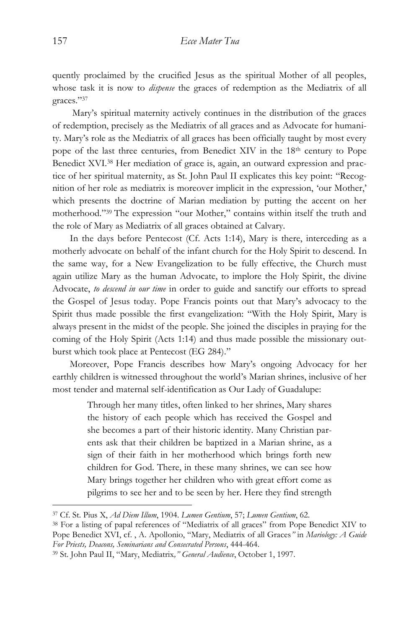quently proclaimed by the crucified Jesus as the spiritual Mother of all peoples, whose task it is now to *dispense* the graces of redemption as the Mediatrix of all graces." 37

Mary's spiritual maternity actively continues in the distribution of the graces of redemption, precisely as the Mediatrix of all graces and as Advocate for humanity. Mary's role as the Mediatrix of all graces has been officially taught by most every pope of the last three centuries, from Benedict XIV in the 18<sup>th</sup> century to Pope Benedict XVI.<sup>38</sup> Her mediation of grace is, again, an outward expression and practice of her spiritual maternity, as St. John Paul II explicates this key point: "Recognition of her role as mediatrix is moreover implicit in the expression, 'our Mother,' which presents the doctrine of Marian mediation by putting the accent on her motherhood." <sup>39</sup> The expression "our Mother," contains within itself the truth and the role of Mary as Mediatrix of all graces obtained at Calvary.

In the days before Pentecost (Cf. Acts 1:14), Mary is there, interceding as a motherly advocate on behalf of the infant church for the Holy Spirit to descend. In the same way, for a New Evangelization to be fully effective, the Church must again utilize Mary as the human Advocate, to implore the Holy Spirit, the divine Advocate, *to descend in our time* in order to guide and sanctify our efforts to spread the Gospel of Jesus today. Pope Francis points out that Mary's advocacy to the Spirit thus made possible the first evangelization: "With the Holy Spirit, Mary is always present in the midst of the people. She joined the disciples in praying for the coming of the Holy Spirit (Acts 1:14) and thus made possible the missionary outburst which took place at Pentecost (EG 284)."

Moreover, Pope Francis describes how Mary's ongoing Advocacy for her earthly children is witnessed throughout the world's Marian shrines, inclusive of her most tender and maternal self-identification as Our Lady of Guadalupe:

> Through her many titles, often linked to her shrines, Mary shares the history of each people which has received the Gospel and she becomes a part of their historic identity. Many Christian parents ask that their children be baptized in a Marian shrine, as a sign of their faith in her motherhood which brings forth new children for God. There, in these many shrines, we can see how Mary brings together her children who with great effort come as pilgrims to see her and to be seen by her. Here they find strength

<sup>37</sup> Cf. St. Pius X, *Ad Diem Illum*, 1904. *Lumen Gentium*, 57; *Lumen Gentium*, 62.

<sup>38</sup> For a listing of papal references of "Mediatrix of all graces" from Pope Benedict XIV to Pope Benedict XVI, cf. , A. Apollonio, "Mary, Mediatrix of all Graces*"* in *Mariology: A Guide For Priests, Deacons, Seminarians and Consecrated Persons*, 444-464.

<sup>39</sup> St. John Paul II, "Mary, Mediatrix*," General Audience*, October 1, 1997.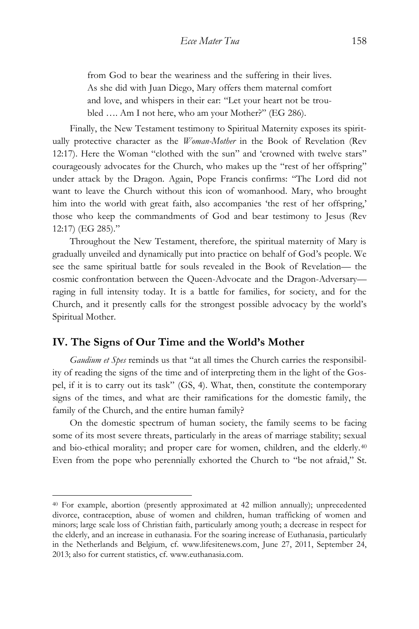from God to bear the weariness and the suffering in their lives. As she did with Juan Diego, Mary offers them maternal comfort and love, and whispers in their ear: "Let your heart not be troubled …. Am I not here, who am your Mother?" (EG 286).

Finally, the New Testament testimony to Spiritual Maternity exposes its spiritually protective character as the *Woman-Mother* in the Book of Revelation (Rev 12:17). Here the Woman "clothed with the sun" and 'crowned with twelve stars" courageously advocates for the Church, who makes up the "rest of her offspring" under attack by the Dragon. Again, Pope Francis confirms: "The Lord did not want to leave the Church without this icon of womanhood. Mary, who brought him into the world with great faith, also accompanies 'the rest of her offspring,' those who keep the commandments of God and bear testimony to Jesus (Rev 12:17) (EG 285)."

Throughout the New Testament, therefore, the spiritual maternity of Mary is gradually unveiled and dynamically put into practice on behalf of God's people. We see the same spiritual battle for souls revealed in the Book of Revelation— the cosmic confrontation between the Queen-Advocate and the Dragon-Adversary raging in full intensity today. It is a battle for families, for society, and for the Church, and it presently calls for the strongest possible advocacy by the world's Spiritual Mother.

### **IV. The Signs of Our Time and the World's Mother**

 $\overline{a}$ 

*Gaudium et Spes* reminds us that "at all times the Church carries the responsibility of reading the signs of the time and of interpreting them in the light of the Gospel, if it is to carry out its task" (GS, 4). What, then, constitute the contemporary signs of the times, and what are their ramifications for the domestic family, the family of the Church, and the entire human family?

On the domestic spectrum of human society, the family seems to be facing some of its most severe threats, particularly in the areas of marriage stability; sexual and bio-ethical morality; and proper care for women, children, and the elderly.<sup>40</sup> Even from the pope who perennially exhorted the Church to "be not afraid," St.

<sup>40</sup> For example, abortion (presently approximated at 42 million annually); unprecedented divorce, contraception, abuse of women and children, human trafficking of women and minors; large scale loss of Christian faith, particularly among youth; a decrease in respect for the elderly, and an increase in euthanasia. For the soaring increase of Euthanasia, particularly in the Netherlands and Belgium, cf. www.lifesitenews.com, June 27, 2011, September 24, 2013; also for current statistics, cf. www.euthanasia.com.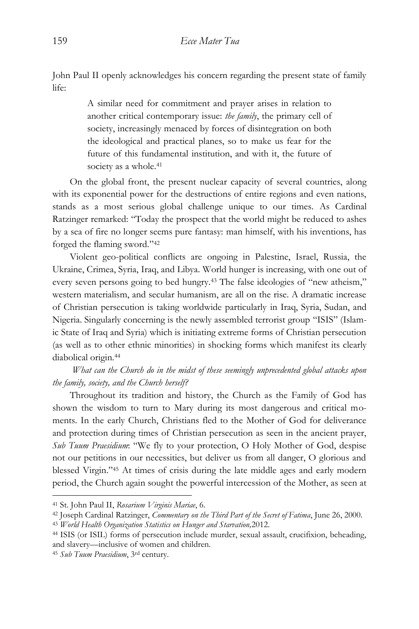John Paul II openly acknowledges his concern regarding the present state of family life:

> A similar need for commitment and prayer arises in relation to another critical contemporary issue: *the family*, the primary cell of society, increasingly menaced by forces of disintegration on both the ideological and practical planes, so to make us fear for the future of this fundamental institution, and with it, the future of society as a whole.<sup>41</sup>

On the global front, the present nuclear capacity of several countries, along with its exponential power for the destructions of entire regions and even nations, stands as a most serious global challenge unique to our times. As Cardinal Ratzinger remarked: "Today the prospect that the world might be reduced to ashes by a sea of fire no longer seems pure fantasy: man himself, with his inventions, has forged the flaming sword." 42

Violent geo-political conflicts are ongoing in Palestine, Israel, Russia, the Ukraine, Crimea, Syria, Iraq, and Libya. World hunger is increasing, with one out of every seven persons going to bed hungry.<sup>43</sup> The false ideologies of "new atheism," western materialism, and secular humanism, are all on the rise. A dramatic increase of Christian persecution is taking worldwide particularly in Iraq, Syria, Sudan, and Nigeria. Singularly concerning is the newly assembled terrorist group "ISIS" (Islamic State of Iraq and Syria) which is initiating extreme forms of Christian persecution (as well as to other ethnic minorities) in shocking forms which manifest its clearly diabolical origin.<sup>44</sup>

*What can the Church do in the midst of these seemingly unprecedented global attacks upon the family, society, and the Church herself?*

Throughout its tradition and history, the Church as the Family of God has shown the wisdom to turn to Mary during its most dangerous and critical moments. In the early Church, Christians fled to the Mother of God for deliverance and protection during times of Christian persecution as seen in the ancient prayer, *Sub Tuum Praesidium*: "We fly to your protection, O Holy Mother of God, despise not our petitions in our necessities, but deliver us from all danger, O glorious and blessed Virgin." <sup>45</sup> At times of crisis during the late middle ages and early modern period, the Church again sought the powerful intercession of the Mother, as seen at

<sup>41</sup> St. John Paul II, *Rosarium Virginis Mariae*, 6.

<sup>42</sup> Joseph Cardinal Ratzinger, *Commentary on the Third Part of the Secret of Fatima*, June 26, 2000. <sup>43</sup> *World Health Organization Statistics on Hunger and Starvation,*2012.

<sup>44</sup> ISIS (or ISIL) forms of persecution include murder, sexual assault, crucifixion, beheading, and slavery—inclusive of women and children.

<sup>45</sup> *Sub Tuum Praesidium*, 3rd century.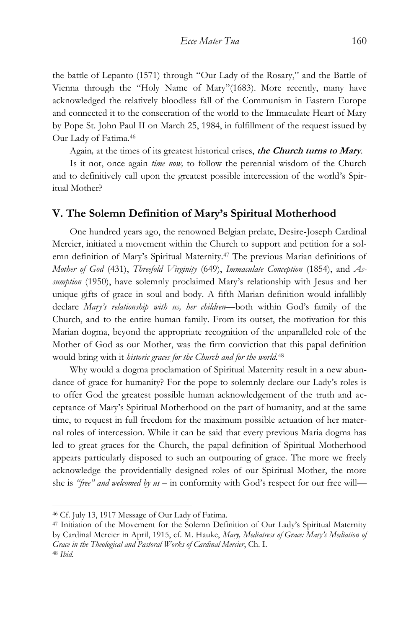the battle of Lepanto (1571) through "Our Lady of the Rosary," and the Battle of Vienna through the "Holy Name of Mary"(1683). More recently, many have acknowledged the relatively bloodless fall of the Communism in Eastern Europe and connected it to the consecration of the world to the Immaculate Heart of Mary by Pope St. John Paul II on March 25, 1984, in fulfillment of the request issued by Our Lady of Fatima.<sup>46</sup>

Again*,* at the times of its greatest historical crises, **the Church turns to Mary***.*

Is it not, once again *time now,* to follow the perennial wisdom of the Church and to definitively call upon the greatest possible intercession of the world's Spiritual Mother?

#### **V. The Solemn Definition of Mary's Spiritual Motherhood**

One hundred years ago, the renowned Belgian prelate, Desire-Joseph Cardinal Mercier, initiated a movement within the Church to support and petition for a solemn definition of Mary's Spiritual Maternity.<sup>47</sup> The previous Marian definitions of *Mother of God* (431), *Threefold Virginity* (649), *Immaculate Conception* (1854), and *Assumption* (1950), have solemnly proclaimed Mary's relationship with Jesus and her unique gifts of grace in soul and body. A fifth Marian definition would infallibly declare *Mary's relationship with us, her children—*both within God's family of the Church, and to the entire human family. From its outset, the motivation for this Marian dogma, beyond the appropriate recognition of the unparalleled role of the Mother of God as our Mother, was the firm conviction that this papal definition would bring with it *historic graces for the Church and for the world.*<sup>48</sup>

Why would a dogma proclamation of Spiritual Maternity result in a new abundance of grace for humanity? For the pope to solemnly declare our Lady's roles is to offer God the greatest possible human acknowledgement of the truth and acceptance of Mary's Spiritual Motherhood on the part of humanity, and at the same time, to request in full freedom for the maximum possible actuation of her maternal roles of intercession. While it can be said that every previous Maria dogma has led to great graces for the Church, the papal definition of Spiritual Motherhood appears particularly disposed to such an outpouring of grace. The more we freely acknowledge the providentially designed roles of our Spiritual Mother, the more she is *"free" and welcomed by us* – in conformity with God's respect for our free will—

<sup>46</sup> Cf. July 13, 1917 Message of Our Lady of Fatima.

<sup>47</sup> Initiation of the Movement for the Solemn Definition of Our Lady's Spiritual Maternity by Cardinal Mercier in April, 1915, cf. M. Hauke, *Mary, Mediatress of Grace: Mary's Mediation of Grace in the Theological and Pastoral Works of Cardinal Mercier*, Ch. I. <sup>48</sup> *Ibid*.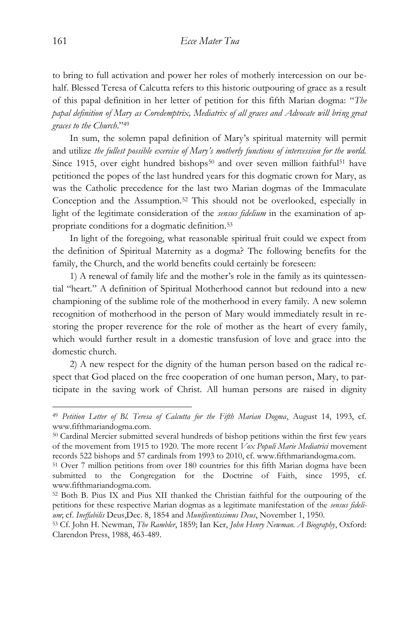to bring to full activation and power her roles of motherly intercession on our behalf. Blessed Teresa of Calcutta refers to this historic outpouring of grace as a result of this papal definition in her letter of petition for this fifth Marian dogma: "*The papal definition of Mary as Coredemptrix, Mediatrix of all graces and Advocate will bring great graces to the Church*." 49

In sum, the solemn papal definition of Mary's spiritual maternity will permit and utilize *the fullest possible exercise of Mary's motherly functions of intercession for the world.* Since 1915, over eight hundred bishops<sup>50</sup> and over seven million faithful<sup>51</sup> have petitioned the popes of the last hundred years for this dogmatic crown for Mary, as was the Catholic precedence for the last two Marian dogmas of the Immaculate Conception and the Assumption.<sup>52</sup> This should not be overlooked, especially in light of the legitimate consideration of the *sensus fidelium* in the examination of appropriate conditions for a dogmatic definition.<sup>53</sup>

In light of the foregoing, what reasonable spiritual fruit could we expect from the definition of Spiritual Maternity as a dogma? The following benefits for the family, the Church, and the world benefits could certainly be foreseen:

1) A renewal of family life and the mother's role in the family as its quintessential "heart." A definition of Spiritual Motherhood cannot but redound into a new championing of the sublime role of the motherhood in every family. A new solemn recognition of motherhood in the person of Mary would immediately result in restoring the proper reverence for the role of mother as the heart of every family, which would further result in a domestic transfusion of love and grace into the domestic church.

2) A new respect for the dignity of the human person based on the radical respect that God placed on the free cooperation of one human person, Mary, to participate in the saving work of Christ. All human persons are raised in dignity

<sup>49</sup> *Petition Letter of Bl. Teresa of Calcutta for the Fifth Marian Dogma*, August 14, 1993, cf. www.fifthmariandogma.com.

<sup>50</sup> Cardinal Mercier submitted several hundreds of bishop petitions within the first few years of the movement from 1915 to 1920. The more recent *Vox Populi Marie Mediatrici* movement records 522 bishops and 57 cardinals from 1993 to 2010, cf. www.fifthmariandogma.com.

<sup>51</sup> Over 7 million petitions from over 180 countries for this fifth Marian dogma have been submitted to the Congregation for the Doctrine of Faith, since 1995, cf. www.fifthmariandogma.com.

<sup>52</sup> Both B. Pius IX and Pius XII thanked the Christian faithful for the outpouring of the petitions for these respective Marian dogmas as a legitimate manifestation of the *sensus fidelium*; cf. *Ineffabilis* Deus,Dec. 8, 1854 and *Munificentissimus Deus*, November 1, 1950.

<sup>53</sup> Cf. John H. Newman, *The Rambler*, 1859; Ian Ker, *John Henry Newman. A Biography*, Oxford: Clarendon Press, 1988, 463-489.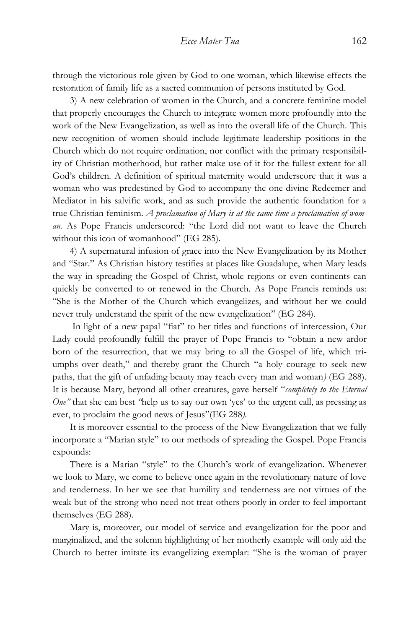through the victorious role given by God to one woman, which likewise effects the restoration of family life as a sacred communion of persons instituted by God.

3) A new celebration of women in the Church, and a concrete feminine model that properly encourages the Church to integrate women more profoundly into the work of the New Evangelization, as well as into the overall life of the Church. This new recognition of women should include legitimate leadership positions in the Church which do not require ordination, nor conflict with the primary responsibility of Christian motherhood, but rather make use of it for the fullest extent for all God's children. A definition of spiritual maternity would underscore that it was a woman who was predestined by God to accompany the one divine Redeemer and Mediator in his salvific work, and as such provide the authentic foundation for a true Christian feminism. *A proclamation of Mary is at the same time a proclamation of woman.* As Pope Francis underscored: "the Lord did not want to leave the Church without this icon of womanhood" (EG 285).

4) A supernatural infusion of grace into the New Evangelization by its Mother and "Star." As Christian history testifies at places like Guadalupe, when Mary leads the way in spreading the Gospel of Christ, whole regions or even continents can quickly be converted to or renewed in the Church. As Pope Francis reminds us: "She is the Mother of the Church which evangelizes, and without her we could never truly understand the spirit of the new evangelization" (EG 284).

In light of a new papal "fiat" to her titles and functions of intercession, Our Lady could profoundly fulfill the prayer of Pope Francis to "obtain a new ardor born of the resurrection, that we may bring to all the Gospel of life, which triumphs over death," and thereby grant the Church "a holy courage to seek new paths, that the gift of unfading beauty may reach every man and woman*)* (EG 288). It is because Mary, beyond all other creatures, gave herself "*completely to the Eternal One*" that she can best "help us to say our own 'yes' to the urgent call, as pressing as ever, to proclaim the good news of Jesus"(EG 288*).*

It is moreover essential to the process of the New Evangelization that we fully incorporate a "Marian style" to our methods of spreading the Gospel. Pope Francis expounds:

There is a Marian "style" to the Church's work of evangelization. Whenever we look to Mary, we come to believe once again in the revolutionary nature of love and tenderness. In her we see that humility and tenderness are not virtues of the weak but of the strong who need not treat others poorly in order to feel important themselves (EG 288).

Mary is, moreover, our model of service and evangelization for the poor and marginalized, and the solemn highlighting of her motherly example will only aid the Church to better imitate its evangelizing exemplar: "She is the woman of prayer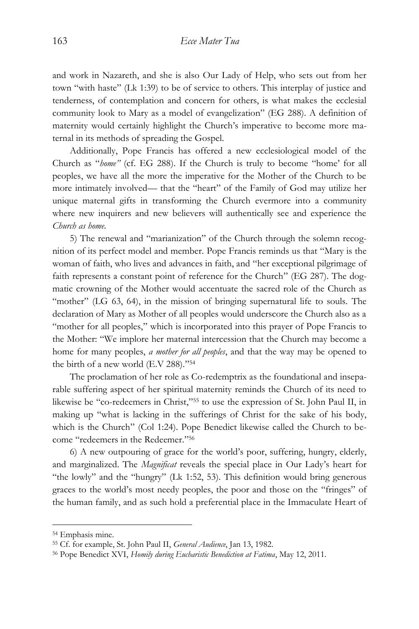and work in Nazareth, and she is also Our Lady of Help, who sets out from her town "with haste" (Lk 1:39) to be of service to others. This interplay of justice and tenderness, of contemplation and concern for others, is what makes the ecclesial community look to Mary as a model of evangelization" (EG 288). A definition of maternity would certainly highlight the Church's imperative to become more maternal in its methods of spreading the Gospel.

Additionally, Pope Francis has offered a new ecclesiological model of the Church as "*home"* (cf. EG 288). If the Church is truly to become "home' for all peoples, we have all the more the imperative for the Mother of the Church to be more intimately involved— that the "heart" of the Family of God may utilize her unique maternal gifts in transforming the Church evermore into a community where new inquirers and new believers will authentically see and experience the *Church as home.*

5) The renewal and "marianization" of the Church through the solemn recognition of its perfect model and member. Pope Francis reminds us that "Mary is the woman of faith, who lives and advances in faith, and "her exceptional pilgrimage of faith represents a constant point of reference for the Church" (EG 287). The dogmatic crowning of the Mother would accentuate the sacred role of the Church as "mother" (LG 63, 64), in the mission of bringing supernatural life to souls. The declaration of Mary as Mother of all peoples would underscore the Church also as a "mother for all peoples," which is incorporated into this prayer of Pope Francis to the Mother: "We implore her maternal intercession that the Church may become a home for many peoples, *a mother for all peoples*, and that the way may be opened to the birth of a new world (E.V 288)." 54

The proclamation of her role as Co-redemptrix as the foundational and inseparable suffering aspect of her spiritual maternity reminds the Church of its need to likewise be "co-redeemers in Christ," <sup>55</sup> to use the expression of St. John Paul II, in making up "what is lacking in the sufferings of Christ for the sake of his body, which is the Church" (Col 1:24). Pope Benedict likewise called the Church to become "redeemers in the Redeemer." 56

6) A new outpouring of grace for the world's poor, suffering, hungry, elderly, and marginalized. The *Magnificat* reveals the special place in Our Lady's heart for "the lowly" and the "hungry" (Lk 1:52, 53). This definition would bring generous graces to the world's most needy peoples, the poor and those on the "fringes" of the human family, and as such hold a preferential place in the Immaculate Heart of

<sup>54</sup> Emphasis mine.

<sup>55</sup> Cf. for example, St. John Paul II, *General Audience*, Jan 13, 1982.

<sup>56</sup> Pope Benedict XVI, *Homily during Eucharistic Benediction at Fatima*, May 12, 2011.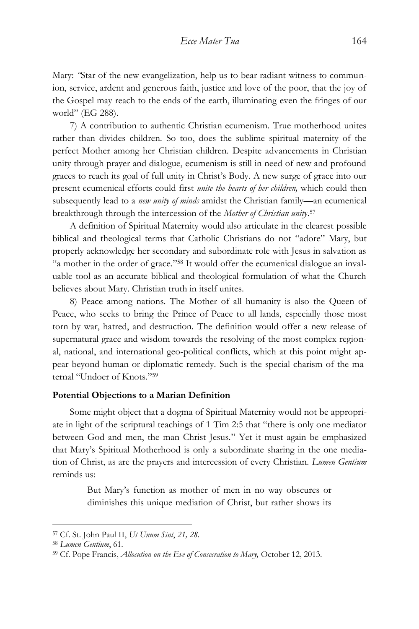Mary: *"*Star of the new evangelization, help us to bear radiant witness to communion, service, ardent and generous faith, justice and love of the poor, that the joy of the Gospel may reach to the ends of the earth, illuminating even the fringes of our world" (EG 288).

7) A contribution to authentic Christian ecumenism. True motherhood unites rather than divides children. So too, does the sublime spiritual maternity of the perfect Mother among her Christian children. Despite advancements in Christian unity through prayer and dialogue, ecumenism is still in need of new and profound graces to reach its goal of full unity in Christ's Body. A new surge of grace into our present ecumenical efforts could first *unite the hearts of her children,* which could then subsequently lead to a *new unity of minds* amidst the Christian family—an ecumenical breakthrough through the intercession of the *Mother of Christian unity*. 57

A definition of Spiritual Maternity would also articulate in the clearest possible biblical and theological terms that Catholic Christians do not "adore" Mary, but properly acknowledge her secondary and subordinate role with Jesus in salvation as "a mother in the order of grace." <sup>58</sup> It would offer the ecumenical dialogue an invaluable tool as an accurate biblical and theological formulation of what the Church believes about Mary. Christian truth in itself unites.

8) Peace among nations. The Mother of all humanity is also the Queen of Peace, who seeks to bring the Prince of Peace to all lands, especially those most torn by war, hatred, and destruction. The definition would offer a new release of supernatural grace and wisdom towards the resolving of the most complex regional, national, and international geo-political conflicts, which at this point might appear beyond human or diplomatic remedy. Such is the special charism of the maternal "Undoer of Knots." 59

#### **Potential Objections to a Marian Definition**

Some might object that a dogma of Spiritual Maternity would not be appropriate in light of the scriptural teachings of 1 Tim 2:5 that "there is only one mediator between God and men, the man Christ Jesus." Yet it must again be emphasized that Mary's Spiritual Motherhood is only a subordinate sharing in the one mediation of Christ, as are the prayers and intercession of every Christian. *Lumen Gentium* reminds us:

> But Mary's function as mother of men in no way obscures or diminishes this unique mediation of Christ, but rather shows its

<sup>57</sup> Cf. St. John Paul II, *Ut Unum Sint*, *21, 28*.

<sup>58</sup> *Lumen Gentium*, 61.

<sup>59</sup> Cf. Pope Francis, *Allocution on the Eve of Consecration to Mary,* October 12, 2013.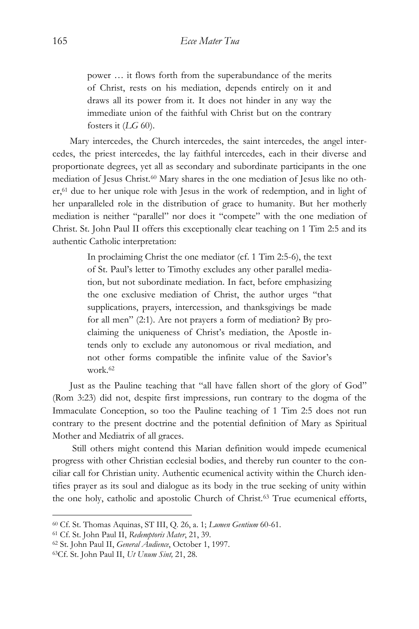power … it flows forth from the superabundance of the merits of Christ, rests on his mediation, depends entirely on it and draws all its power from it. It does not hinder in any way the immediate union of the faithful with Christ but on the contrary fosters it (*LG* 60).

Mary intercedes, the Church intercedes, the saint intercedes, the angel intercedes, the priest intercedes, the lay faithful intercedes, each in their diverse and proportionate degrees, yet all as secondary and subordinate participants in the one mediation of Jesus Christ.<sup>60</sup> Mary shares in the one mediation of Jesus like no other,<sup>61</sup> due to her unique role with Jesus in the work of redemption, and in light of her unparalleled role in the distribution of grace to humanity. But her motherly mediation is neither "parallel" nor does it "compete" with the one mediation of Christ. St. John Paul II offers this exceptionally clear teaching on 1 Tim 2:5 and its authentic Catholic interpretation:

> In proclaiming Christ the one mediator (cf. 1 Tim 2:5-6), the text of St. Paul's letter to Timothy excludes any other parallel mediation, but not subordinate mediation. In fact, before emphasizing the one exclusive mediation of Christ, the author urges "that supplications, prayers, intercession, and thanksgivings be made for all men" (2:1). Are not prayers a form of mediation? By proclaiming the uniqueness of Christ's mediation, the Apostle intends only to exclude any autonomous or rival mediation, and not other forms compatible the infinite value of the Savior's work  $62$

Just as the Pauline teaching that "all have fallen short of the glory of God" (Rom 3:23) did not, despite first impressions, run contrary to the dogma of the Immaculate Conception, so too the Pauline teaching of 1 Tim 2:5 does not run contrary to the present doctrine and the potential definition of Mary as Spiritual Mother and Mediatrix of all graces.

Still others might contend this Marian definition would impede ecumenical progress with other Christian ecclesial bodies, and thereby run counter to the conciliar call for Christian unity. Authentic ecumenical activity within the Church identifies prayer as its soul and dialogue as its body in the true seeking of unity within the one holy, catholic and apostolic Church of Christ.<sup>63</sup> True ecumenical efforts,

<sup>60</sup> Cf. St. Thomas Aquinas, ST III, Q. 26, a. 1; *Lumen Gentium* 60-61.

<sup>61</sup> Cf. St. John Paul II, *Redemptoris Mater*, 21, 39.

<sup>62</sup> St. John Paul II, *General Audience*, October 1, 1997.

<sup>63</sup>Cf. St. John Paul II, *Ut Unum Sint,* 21, 28.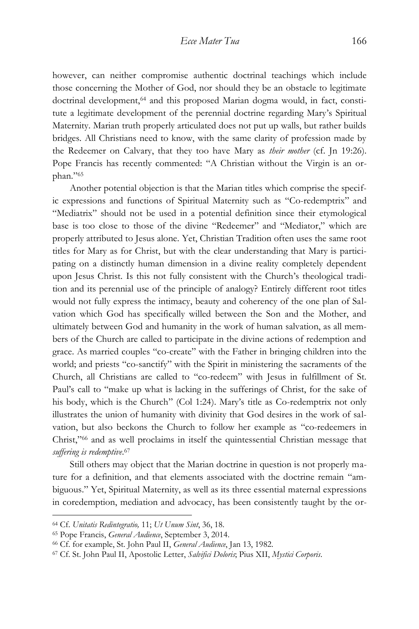however, can neither compromise authentic doctrinal teachings which include those concerning the Mother of God, nor should they be an obstacle to legitimate doctrinal development,<sup>64</sup> and this proposed Marian dogma would, in fact, constitute a legitimate development of the perennial doctrine regarding Mary's Spiritual Maternity. Marian truth properly articulated does not put up walls, but rather builds bridges. All Christians need to know, with the same clarity of profession made by the Redeemer on Calvary, that they too have Mary as *their mother* (cf. Jn 19:26). Pope Francis has recently commented: "A Christian without the Virgin is an orphan." 65

Another potential objection is that the Marian titles which comprise the specific expressions and functions of Spiritual Maternity such as "Co-redemptrix" and "Mediatrix" should not be used in a potential definition since their etymological base is too close to those of the divine "Redeemer" and "Mediator," which are properly attributed to Jesus alone. Yet, Christian Tradition often uses the same root titles for Mary as for Christ, but with the clear understanding that Mary is participating on a distinctly human dimension in a divine reality completely dependent upon Jesus Christ. Is this not fully consistent with the Church's theological tradition and its perennial use of the principle of analogy? Entirely different root titles would not fully express the intimacy, beauty and coherency of the one plan of Salvation which God has specifically willed between the Son and the Mother, and ultimately between God and humanity in the work of human salvation, as all members of the Church are called to participate in the divine actions of redemption and grace. As married couples "co-create" with the Father in bringing children into the world; and priests "co-sanctify" with the Spirit in ministering the sacraments of the Church, all Christians are called to "co-redeem" with Jesus in fulfillment of St. Paul's call to "make up what is lacking in the sufferings of Christ, for the sake of his body, which is the Church" (Col 1:24). Mary's title as Co-redemptrix not only illustrates the union of humanity with divinity that God desires in the work of salvation, but also beckons the Church to follow her example as "co-redeemers in Christ," <sup>66</sup> and as well proclaims in itself the quintessential Christian message that *suffering is redemptive*. 67

Still others may object that the Marian doctrine in question is not properly mature for a definition, and that elements associated with the doctrine remain "ambiguous." Yet, Spiritual Maternity, as well as its three essential maternal expressions in coredemption, mediation and advocacy, has been consistently taught by the or-

<sup>64</sup> Cf. *Unitatis Redintegratio,* 11; *Ut Unum Sint*, 36, 18.

<sup>65</sup> Pope Francis, *General Audience*, September 3, 2014.

<sup>66</sup> Cf. for example, St. John Paul II, *General Audience*, Jan 13, 1982.

<sup>67</sup> Cf. St. John Paul II, Apostolic Letter, *Salvifici Doloris*; Pius XII, *Mystici Corporis*.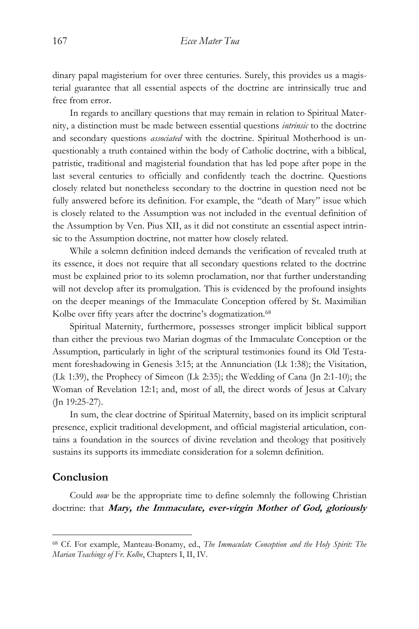dinary papal magisterium for over three centuries. Surely, this provides us a magisterial guarantee that all essential aspects of the doctrine are intrinsically true and free from error.

In regards to ancillary questions that may remain in relation to Spiritual Maternity, a distinction must be made between essential questions *intrinsic* to the doctrine and secondary questions *associated* with the doctrine. Spiritual Motherhood is unquestionably a truth contained within the body of Catholic doctrine, with a biblical, patristic, traditional and magisterial foundation that has led pope after pope in the last several centuries to officially and confidently teach the doctrine. Questions closely related but nonetheless secondary to the doctrine in question need not be fully answered before its definition. For example, the "death of Mary" issue which is closely related to the Assumption was not included in the eventual definition of the Assumption by Ven. Pius XII, as it did not constitute an essential aspect intrinsic to the Assumption doctrine, not matter how closely related.

While a solemn definition indeed demands the verification of revealed truth at its essence, it does not require that all secondary questions related to the doctrine must be explained prior to its solemn proclamation, nor that further understanding will not develop after its promulgation. This is evidenced by the profound insights on the deeper meanings of the Immaculate Conception offered by St. Maximilian Kolbe over fifty years after the doctrine's dogmatization.<sup>68</sup>

Spiritual Maternity, furthermore, possesses stronger implicit biblical support than either the previous two Marian dogmas of the Immaculate Conception or the Assumption, particularly in light of the scriptural testimonies found its Old Testament foreshadowing in Genesis 3:15; at the Annunciation (Lk 1:38); the Visitation, (Lk 1:39), the Prophecy of Simeon (Lk 2:35); the Wedding of Cana (Jn 2:1-10); the Woman of Revelation 12:1; and, most of all, the direct words of Jesus at Calvary (Jn 19:25-27).

In sum, the clear doctrine of Spiritual Maternity, based on its implicit scriptural presence, explicit traditional development, and official magisterial articulation, contains a foundation in the sources of divine revelation and theology that positively sustains its supports its immediate consideration for a solemn definition.

## **Conclusion**

 $\overline{a}$ 

Could *now* be the appropriate time to define solemnly the following Christian doctrine: that **Mary, the Immaculate, ever-virgin Mother of God, gloriously** 

<sup>68</sup> Cf. For example, Manteau-Bonamy, ed., *The Immaculate Conception and the Holy Spirit: The Marian Teachings of Fr. Kolbe*, Chapters I, II, IV.